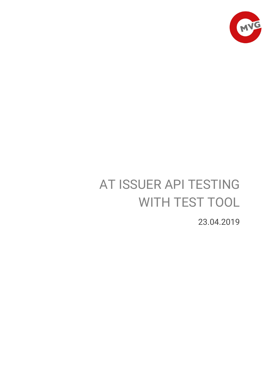

# AT ISSUER API TESTING WITH TEST TOOL

23.04.2019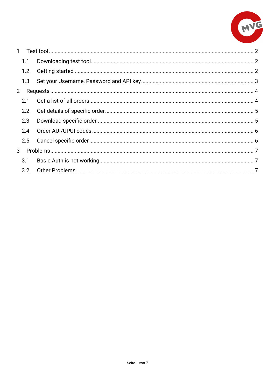

| $\mathbf{1}$   |     |  |
|----------------|-----|--|
|                | 1.1 |  |
|                | 1.2 |  |
|                | 1.3 |  |
| $\overline{2}$ |     |  |
|                | 2.1 |  |
|                | 2.2 |  |
|                | 2.3 |  |
|                | 2.4 |  |
|                | 2.5 |  |
| 3              |     |  |
|                | 3.1 |  |
|                | 3.2 |  |
|                |     |  |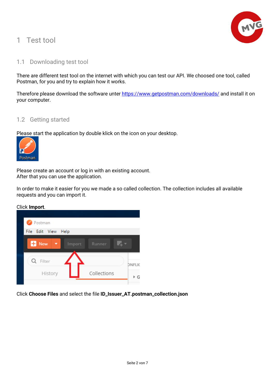# <span id="page-2-0"></span>1 Test tool



# <span id="page-2-1"></span>1.1 Downloading test tool

There are different test tool on the internet with which you can test our API. We choosed one tool, called Postman, for you and try to explain how it works.

Therefore please download the software unter<https://www.getpostman.com/downloads/> and install it on your computer.

### <span id="page-2-2"></span>1.2 Getting started

Please start the application by double klick on the icon on your desktop.



Please create an account or log in with an existing account. After that you can use the application.

In order to make it easier for you we made a so called collection. The collection includes all available requests and you can import it.

Click **Import**.



Click **Choose Files** and select the file **ID\_Issuer\_AT.postman\_collection.json**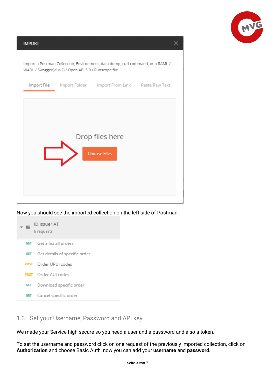

**IMPORT**  $\times$ Import a Postman Collection, Environment, data dump, curl command, or a RAML / WADL / Swagger(v1/v2) / Open API 3.0 / Runscope file. Paste Raw Text Import File Import Folder Import From Link Drop files here **Choose Files** 

Now you should see the imported collection on the left side of Postman.



# <span id="page-3-0"></span>1.3 Set your Username, Password and API key

We made your Service high secure so you need a user and a password and also a token.

To set the username and password click on one request of the previously imported collection, click on **Authorization** and choose Basic Auth, now you can add your **username** and **password.**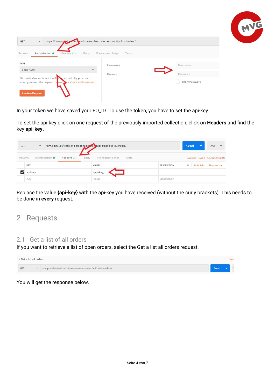|                                                                 |                                                                           |       |               | <b>NG</b> |
|-----------------------------------------------------------------|---------------------------------------------------------------------------|-------|---------------|-----------|
|                                                                 |                                                                           |       |               |           |
| GET<br>$\overline{\mathbf{v}}$                                  | https://txm.pox.al.ax.track.and-trace-tobacco-issuer-p/api/public/orders/ |       |               |           |
|                                                                 |                                                                           |       |               |           |
| Params<br>Authorization <sup>@</sup>                            | Headers (1)<br>Body<br>Pre-request Script                                 | Tests |               |           |
| TYPE                                                            | Username                                                                  |       | Username      |           |
| Basic Auth                                                      |                                                                           |       |               |           |
| The authorization header will <b>the utomatically generated</b> | Password                                                                  |       | Password      |           |
|                                                                 |                                                                           |       | Show Password |           |
| when you send the request. Learn more about authorization       |                                                                           |       |               |           |
| <b>Preview Request</b>                                          |                                                                           |       |               |           |

In your token we have saved your EO\_ID. To use the token, you have to set the api-key.

To set the api-key click on one request of the previously imported collection, click on **Headers** and find the key **api-key.**

| GET    | $\overline{\mathbf{v}}$ |                                | txm.portal.at/track-and-trace-tobacco-suer-t/api/public/orders/ |                    | Send                      | Save                      |
|--------|-------------------------|--------------------------------|-----------------------------------------------------------------|--------------------|---------------------------|---------------------------|
| Params |                         | Authorization ·<br>Headers (1) | Body<br>Tests<br>Pre-request Script                             |                    |                           | Cookies Code Comments (0) |
|        | <b>75888</b><br>KEY     |                                | VALUE                                                           | <b>DESCRIPTION</b> | <b>Bulk Edit</b><br>0.0.0 | Presets v                 |
|        | api-key                 |                                | {api-key}                                                       |                    |                           |                           |
|        | Key                     |                                | Value                                                           | Description        |                           |                           |

Replace the value **{api-key}** with the api-key you have received (without the curly brackets). This needs to be done in **every** request.

# <span id="page-4-0"></span>2 Requests

# <span id="page-4-1"></span>2.1 Get a list of all orders

If you want to retrieve a list of open orders, select the Get a list all orders request.

| $\triangleright$ Get a list all orders |  |                                                                   |             |  |  |
|----------------------------------------|--|-------------------------------------------------------------------|-------------|--|--|
| <b>GET</b>                             |  | txm.portal.at/track-and-trace-tobacco-issuer-t/api/public/orders/ | <b>Send</b> |  |  |

#### You will get the response below.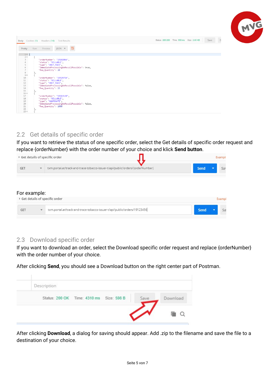|                                                                                                                                                                                                                                                                                                                                                                                                                                                                        | WC                                                                   |
|------------------------------------------------------------------------------------------------------------------------------------------------------------------------------------------------------------------------------------------------------------------------------------------------------------------------------------------------------------------------------------------------------------------------------------------------------------------------|----------------------------------------------------------------------|
| Body Cookies (1) Headers (14) Test Results                                                                                                                                                                                                                                                                                                                                                                                                                             | $\overline{D}$<br>Status: 200 200 Time: 558 ms Size: 2.65 KB<br>Save |
| $ISON \times$<br>Preview<br>Pretty<br>Raw<br>$\Rightarrow$                                                                                                                                                                                                                                                                                                                                                                                                             |                                                                      |
| $1 -$ [<br>$2 -$<br>$\overline{\mathbf{3}}$<br>"orderNumber": "19102866",<br>"status": "BILLABLE",<br>$\Delta$<br>5<br>"type": "UNIT PACK",<br>"ImmediateProcessingNoRecallPossible": true,<br>6<br>"Req Quantity": 20<br>$\overline{7}$<br>8<br>3,<br>$9 -$<br>10<br>"orderNumber": "19325726",<br>11<br>"status": "BILLABLE",<br>12<br>"type": "UNIT_PACK",<br>"ImmediateProcessingNoRecallPossible": false,<br>13<br>14<br>"Req Quantity": 15<br>15<br>Ъ.<br>$16 -$ |                                                                      |
| 17<br>"orderNumber": "19613130",<br>18<br>"status": "BILLABLE",<br>19<br>"type": "AGGREGATE",<br>"ImmediateProcessingNoRecallPossible": false,<br>20<br>21<br>"Req Quantity": 1000<br>22<br>з,<br>$23 -$                                                                                                                                                                                                                                                               |                                                                      |

# <span id="page-5-0"></span>2.2 Get details of specific order

If you want to retrieve the status of one specific order, select the Get details of specific order request and replace {orderNumber} with the order number of your choice and klick **Send button**.

|              |                                         | ▶ Get details of specific order                                           | Example     |
|--------------|-----------------------------------------|---------------------------------------------------------------------------|-------------|
| GET          | Send<br>Say<br>$\overline{\phantom{a}}$ |                                                                           |             |
|              |                                         |                                                                           |             |
| For example: |                                         |                                                                           |             |
|              |                                         | Get details of specific order                                             | Exampl      |
| GET          | $\overline{\mathbf{v}}$                 | txm.portal.at/track-and-trace-tobacco-issuer-t/api/public/orders/19123456 | Send<br>Sa' |

# <span id="page-5-1"></span>2.3 Download specific order

If you want to download an order, select the Download specific order request and replace {orderNumber} with the order number of your choice.

After clicking **Send**, you should see a Download button on the right center part of Postman.

| Description                              |                  |
|------------------------------------------|------------------|
| Status: 200 OK Time: 4310 ms Size: 598 B | Download<br>Save |
|                                          |                  |

After clicking **Download**, a dialog for saving should appear. Add .zip to the filename and save the file to a destination of your choice.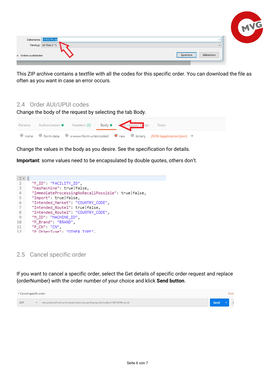

This ZIP archive contains a textfile with all the codes for this specific order. You can download the file as often as you want in case an error occurs.

# <span id="page-6-0"></span>2.4 Order AUI/UPUI codes

Change the body of the request by selecting the tab Body.

|  | Params Authorization • Headers (2) Body • Perrequest Stript Tests |  |                                                                                     |  |
|--|-------------------------------------------------------------------|--|-------------------------------------------------------------------------------------|--|
|  |                                                                   |  | ● none ● form-data ● x-www-form-urlencoded ● raw ● binary JSON (application/json) ▼ |  |

Change the values in the body as you desire. See the specification for details.

**Important**: some values need to be encapsulated by double quotes, others don't.

```
1 - k"F_ID": "FACILITY_ID",
 \overline{2}\overline{3}"hasMachine": true|false,
        "ImmediateProcessingNoRecallPossible": true|false,
 \ensuremath{\mathnormal{\mathbb{A}}}"Import": true|false,
 5
       "Intended_Market": "COUNTRY_CODE",
 6
 \overline{7}"Intended_Route1": true|false,
 8
        "Intended_Route2": "COUNTRY_CODE",
        "M_ID": "MACHINE_ID",
 9
        "P_Brand": "BRAND",
10
        "P_CN": "CN"
11
12"P OtherTyne": "OTHER TYPE"
```
<span id="page-6-1"></span>2.5 Cancel specific order

If you want to cancel a specific order, select the Get details of specific order request and replace {orderNumber} with the order number of your choice and klick **Send button**.